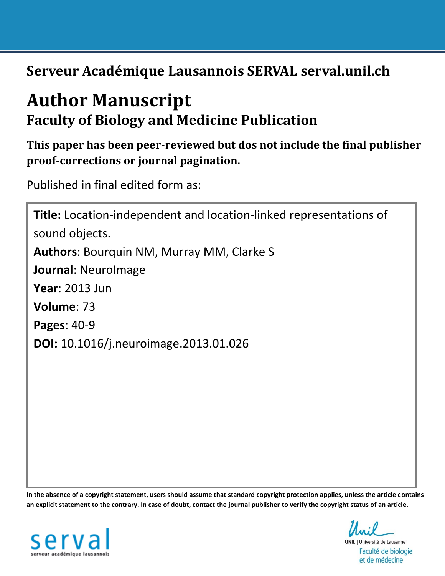**Serveur Académique Lausannois SERVAL serval.unil.ch**

# **Author Manuscript Faculty of Biology and Medicine Publication**

**This paper has been peer-reviewed but dos not include the final publisher proof-corrections or journal pagination.**

Published in final edited form as:

**Title:** Location-independent and location-linked representations of sound objects. **Authors**: Bourquin NM, Murray MM, Clarke S **Journal**: NeuroImage **Year**: 2013 Jun **Volume**: 73 **Pages**: 40-9 **DOI:** [10.1016/j.neuroimage.2013.01.026](http://dx.doi.org/10.1016/j.neuroimage.2013.01.026)

**In the absence of a copyright statement, users should assume that standard copyright protection applies, unless the article contains an explicit statement to the contrary. In case of doubt, contact the journal publisher to verify the copyright status of an article.**



**UNIL** | Université de Lausanne Faculté de biologie et de médecine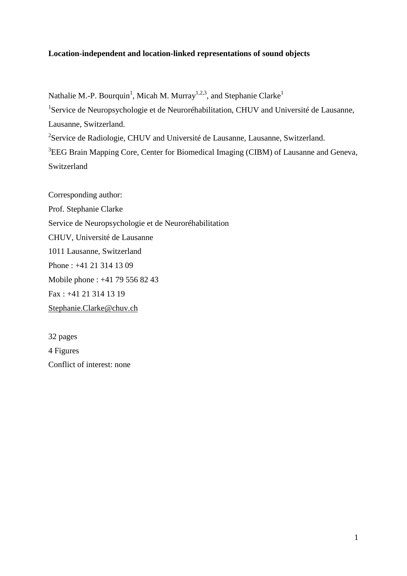# **Location-independent and location-linked representations of sound objects**

Nathalie M.-P. Bourquin<sup>1</sup>, Micah M. Murray<sup>1,2,3</sup>, and Stephanie Clarke<sup>1</sup> <sup>1</sup>Service de Neuropsychologie et de Neuroréhabilitation, CHUV and Université de Lausanne, Lausanne, Switzerland. <sup>2</sup>Service de Radiologie, CHUV and Université de Lausanne, Lausanne, Switzerland. <sup>3</sup>EEG Brain Mapping Core, Center for Biomedical Imaging (CIBM) of Lausanne and Geneva, Switzerland

Corresponding author: Prof. Stephanie Clarke Service de Neuropsychologie et de Neuroréhabilitation CHUV, Université de Lausanne 1011 Lausanne, Switzerland Phone : +41 21 314 13 09 Mobile phone : +41 79 556 82 43 Fax : +41 21 314 13 19 [Stephanie.Clarke@chuv.ch](mailto:Stephanie.Clarke@chuv.ch)

32 pages 4 Figures Conflict of interest: none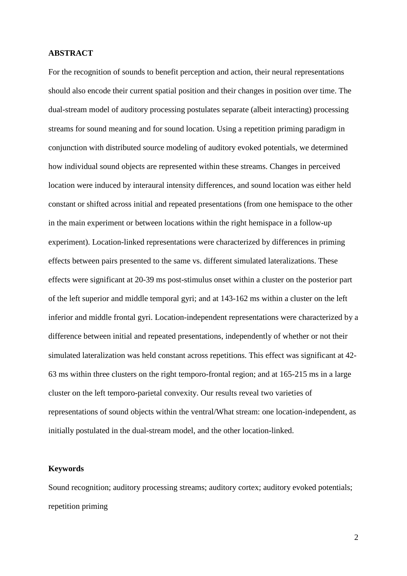# **ABSTRACT**

For the recognition of sounds to benefit perception and action, their neural representations should also encode their current spatial position and their changes in position over time. The dual-stream model of auditory processing postulates separate (albeit interacting) processing streams for sound meaning and for sound location. Using a repetition priming paradigm in conjunction with distributed source modeling of auditory evoked potentials, we determined how individual sound objects are represented within these streams. Changes in perceived location were induced by interaural intensity differences, and sound location was either held constant or shifted across initial and repeated presentations (from one hemispace to the other in the main experiment or between locations within the right hemispace in a follow-up experiment). Location-linked representations were characterized by differences in priming effects between pairs presented to the same vs. different simulated lateralizations. These effects were significant at 20-39 ms post-stimulus onset within a cluster on the posterior part of the left superior and middle temporal gyri; and at 143-162 ms within a cluster on the left inferior and middle frontal gyri. Location-independent representations were characterized by a difference between initial and repeated presentations, independently of whether or not their simulated lateralization was held constant across repetitions. This effect was significant at 42- 63 ms within three clusters on the right temporo-frontal region; and at 165-215 ms in a large cluster on the left temporo-parietal convexity. Our results reveal two varieties of representations of sound objects within the ventral/What stream: one location-independent, as initially postulated in the dual-stream model, and the other location-linked.

#### **Keywords**

Sound recognition; auditory processing streams; auditory cortex; auditory evoked potentials; repetition priming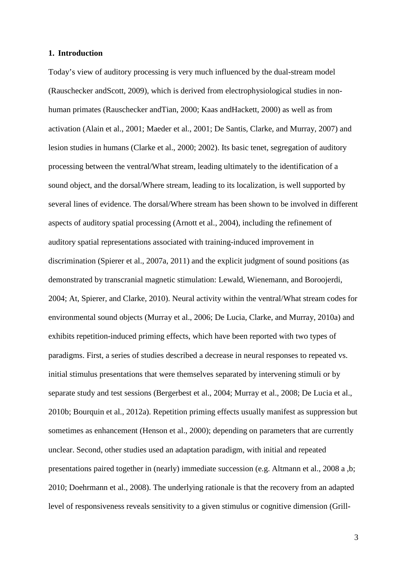## **1. Introduction**

Today's view of auditory processing is very much influenced by the dual-stream model (Rauschecker andScott, 2009), which is derived from electrophysiological studies in nonhuman primates (Rauschecker andTian, 2000; Kaas andHackett, 2000) as well as from activation (Alain et al., 2001; Maeder et al., 2001; De Santis, Clarke, and Murray, 2007) and lesion studies in humans (Clarke et al., 2000; 2002). Its basic tenet, segregation of auditory processing between the ventral/What stream, leading ultimately to the identification of a sound object, and the dorsal/Where stream, leading to its localization, is well supported by several lines of evidence. The dorsal/Where stream has been shown to be involved in different aspects of auditory spatial processing (Arnott et al., 2004), including the refinement of auditory spatial representations associated with training-induced improvement in discrimination (Spierer et al., 2007a, 2011) and the explicit judgment of sound positions (as demonstrated by transcranial magnetic stimulation: Lewald, Wienemann, and Boroojerdi, 2004; At, Spierer, and Clarke, 2010). Neural activity within the ventral/What stream codes for environmental sound objects (Murray et al., 2006; De Lucia, Clarke, and Murray, 2010a) and exhibits repetition-induced priming effects, which have been reported with two types of paradigms. First, a series of studies described a decrease in neural responses to repeated vs. initial stimulus presentations that were themselves separated by intervening stimuli or by separate study and test sessions (Bergerbest et al., 2004; Murray et al., 2008; De Lucia et al., 2010b; Bourquin et al., 2012a). Repetition priming effects usually manifest as suppression but sometimes as enhancement (Henson et al., 2000); depending on parameters that are currently unclear. Second, other studies used an adaptation paradigm, with initial and repeated presentations paired together in (nearly) immediate succession (e.g. Altmann et al., 2008 a ,b; 2010; Doehrmann et al., 2008). The underlying rationale is that the recovery from an adapted level of responsiveness reveals sensitivity to a given stimulus or cognitive dimension (Grill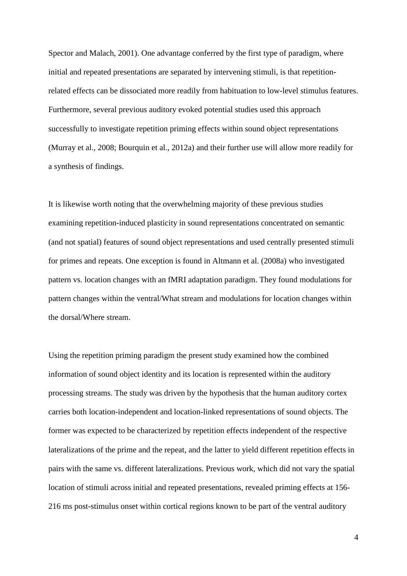Spector and Malach, 2001). One advantage conferred by the first type of paradigm, where initial and repeated presentations are separated by intervening stimuli, is that repetitionrelated effects can be dissociated more readily from habituation to low-level stimulus features. Furthermore, several previous auditory evoked potential studies used this approach successfully to investigate repetition priming effects within sound object representations (Murray et al., 2008; Bourquin et al., 2012a) and their further use will allow more readily for a synthesis of findings.

It is likewise worth noting that the overwhelming majority of these previous studies examining repetition-induced plasticity in sound representations concentrated on semantic (and not spatial) features of sound object representations and used centrally presented stimuli for primes and repeats. One exception is found in Altmann et al. (2008a) who investigated pattern vs. location changes with an fMRI adaptation paradigm. They found modulations for pattern changes within the ventral/What stream and modulations for location changes within the dorsal/Where stream.

Using the repetition priming paradigm the present study examined how the combined information of sound object identity and its location is represented within the auditory processing streams. The study was driven by the hypothesis that the human auditory cortex carries both location-independent and location-linked representations of sound objects. The former was expected to be characterized by repetition effects independent of the respective lateralizations of the prime and the repeat, and the latter to yield different repetition effects in pairs with the same vs. different lateralizations. Previous work, which did not vary the spatial location of stimuli across initial and repeated presentations, revealed priming effects at 156- 216 ms post-stimulus onset within cortical regions known to be part of the ventral auditory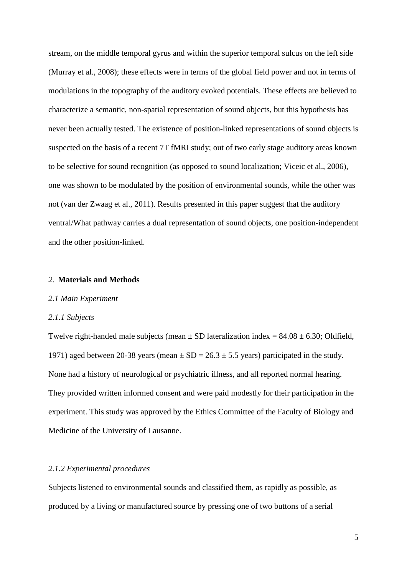stream, on the middle temporal gyrus and within the superior temporal sulcus on the left side (Murray et al., 2008); these effects were in terms of the global field power and not in terms of modulations in the topography of the auditory evoked potentials. These effects are believed to characterize a semantic, non-spatial representation of sound objects, but this hypothesis has never been actually tested. The existence of position-linked representations of sound objects is suspected on the basis of a recent 7T fMRI study; out of two early stage auditory areas known to be selective for sound recognition (as opposed to sound localization; Viceic et al., 2006), one was shown to be modulated by the position of environmental sounds, while the other was not (van der Zwaag et al., 2011). Results presented in this paper suggest that the auditory ventral/What pathway carries a dual representation of sound objects, one position-independent and the other position-linked.

#### *2.* **Materials and Methods**

## *2.1 Main Experiment*

#### *2.1.1 Subjects*

Twelve right-handed male subjects (mean  $\pm$  SD lateralization index = 84.08  $\pm$  6.30; Oldfield, 1971) aged between 20-38 years (mean  $\pm$  SD = 26.3  $\pm$  5.5 years) participated in the study. None had a history of neurological or psychiatric illness, and all reported normal hearing. They provided written informed consent and were paid modestly for their participation in the experiment. This study was approved by the Ethics Committee of the Faculty of Biology and Medicine of the University of Lausanne.

## *2.1.2 Experimental procedures*

Subjects listened to environmental sounds and classified them, as rapidly as possible, as produced by a living or manufactured source by pressing one of two buttons of a serial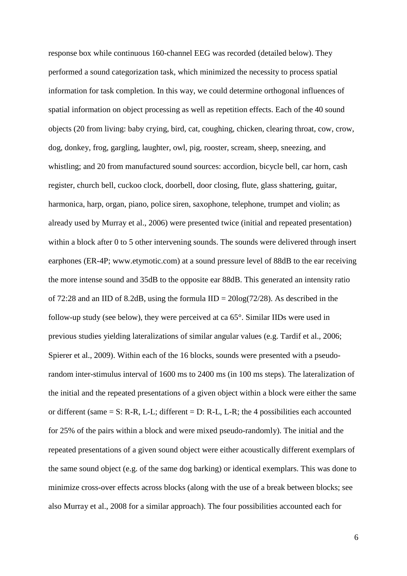response box while continuous 160-channel EEG was recorded (detailed below). They performed a sound categorization task, which minimized the necessity to process spatial information for task completion. In this way, we could determine orthogonal influences of spatial information on object processing as well as repetition effects. Each of the 40 sound objects (20 from living: baby crying, bird, cat, coughing, chicken, clearing throat, cow, crow, dog, donkey, frog, gargling, laughter, owl, pig, rooster, scream, sheep, sneezing, and whistling; and 20 from manufactured sound sources: accordion, bicycle bell, car horn, cash register, church bell, cuckoo clock, doorbell, door closing, flute, glass shattering, guitar, harmonica, harp, organ, piano, police siren, saxophone, telephone, trumpet and violin; as already used by Murray et al., 2006) were presented twice (initial and repeated presentation) within a block after 0 to 5 other intervening sounds. The sounds were delivered through insert earphones (ER-4P; www.etymotic.com) at a sound pressure level of 88dB to the ear receiving the more intense sound and 35dB to the opposite ear 88dB. This generated an intensity ratio of 72:28 and an IID of 8.2dB, using the formula  $\text{IID} = 20\text{log}(72/28)$ . As described in the follow-up study (see below), they were perceived at ca 65°. Similar IIDs were used in previous studies yielding lateralizations of similar angular values (e.g. Tardif et al., 2006; Spierer et al., 2009). Within each of the 16 blocks, sounds were presented with a pseudorandom inter-stimulus interval of 1600 ms to 2400 ms (in 100 ms steps). The lateralization of the initial and the repeated presentations of a given object within a block were either the same or different (same  $= S: R-R$ , L-L; different  $= D: R-L$ , L-R; the 4 possibilities each accounted for 25% of the pairs within a block and were mixed pseudo-randomly). The initial and the repeated presentations of a given sound object were either acoustically different exemplars of the same sound object (e.g. of the same dog barking) or identical exemplars. This was done to minimize cross-over effects across blocks (along with the use of a break between blocks; see also Murray et al., 2008 for a similar approach). The four possibilities accounted each for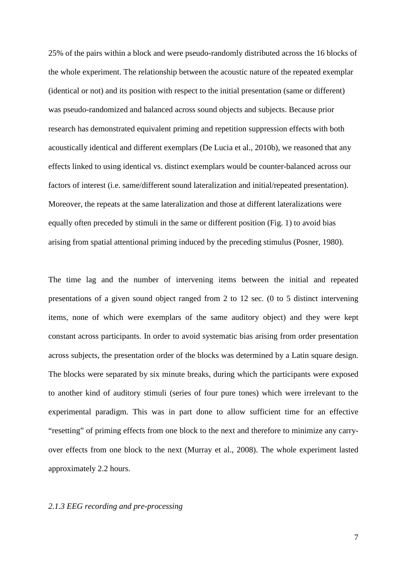25% of the pairs within a block and were pseudo-randomly distributed across the 16 blocks of the whole experiment. The relationship between the acoustic nature of the repeated exemplar (identical or not) and its position with respect to the initial presentation (same or different) was pseudo-randomized and balanced across sound objects and subjects. Because prior research has demonstrated equivalent priming and repetition suppression effects with both acoustically identical and different exemplars (De Lucia et al., 2010b), we reasoned that any effects linked to using identical vs. distinct exemplars would be counter-balanced across our factors of interest (i.e. same/different sound lateralization and initial/repeated presentation). Moreover, the repeats at the same lateralization and those at different lateralizations were equally often preceded by stimuli in the same or different position (Fig. 1) to avoid bias arising from spatial attentional priming induced by the preceding stimulus (Posner, 1980).

The time lag and the number of intervening items between the initial and repeated presentations of a given sound object ranged from 2 to 12 sec. (0 to 5 distinct intervening items, none of which were exemplars of the same auditory object) and they were kept constant across participants. In order to avoid systematic bias arising from order presentation across subjects, the presentation order of the blocks was determined by a Latin square design. The blocks were separated by six minute breaks, during which the participants were exposed to another kind of auditory stimuli (series of four pure tones) which were irrelevant to the experimental paradigm. This was in part done to allow sufficient time for an effective "resetting" of priming effects from one block to the next and therefore to minimize any carryover effects from one block to the next (Murray et al., 2008). The whole experiment lasted approximately 2.2 hours.

# *2.1.3 EEG recording and pre-processing*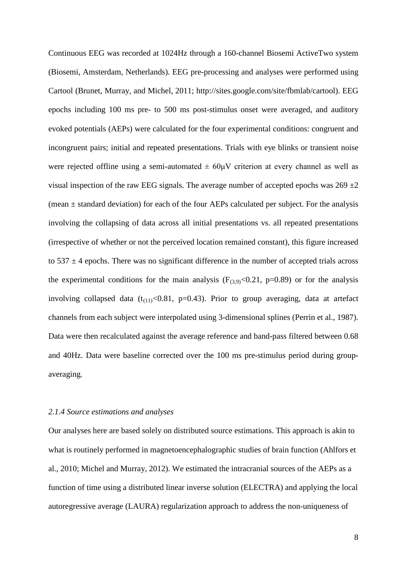Continuous EEG was recorded at 1024Hz through a 160-channel Biosemi ActiveTwo system (Biosemi, Amsterdam, Netherlands). EEG pre-processing and analyses were performed using Cartool (Brunet, Murray, and Michel, 2011; http://sites.google.com/site/fbmlab/cartool). EEG epochs including 100 ms pre- to 500 ms post-stimulus onset were averaged, and auditory evoked potentials (AEPs) were calculated for the four experimental conditions: congruent and incongruent pairs; initial and repeated presentations. Trials with eye blinks or transient noise were rejected offline using a semi-automated  $\pm 60 \mu V$  criterion at every channel as well as visual inspection of the raw EEG signals. The average number of accepted epochs was  $269 \pm 2$ (mean  $\pm$  standard deviation) for each of the four AEPs calculated per subject. For the analysis involving the collapsing of data across all initial presentations vs. all repeated presentations (irrespective of whether or not the perceived location remained constant), this figure increased to  $537 \pm 4$  epochs. There was no significant difference in the number of accepted trials across the experimental conditions for the main analysis ( $F_{(3,9)}<0.21$ , p=0.89) or for the analysis involving collapsed data  $(t_{(11)}<0.81, p=0.43)$ . Prior to group averaging, data at artefact channels from each subject were interpolated using 3-dimensional splines (Perrin et al., 1987). Data were then recalculated against the average reference and band-pass filtered between 0.68 and 40Hz. Data were baseline corrected over the 100 ms pre-stimulus period during groupaveraging.

# *2.1.4 Source estimations and analyses*

Our analyses here are based solely on distributed source estimations. This approach is akin to what is routinely performed in magnetoencephalographic studies of brain function (Ahlfors et al., 2010; Michel and Murray, 2012). We estimated the intracranial sources of the AEPs as a function of time using a distributed linear inverse solution (ELECTRA) and applying the local autoregressive average (LAURA) regularization approach to address the non-uniqueness of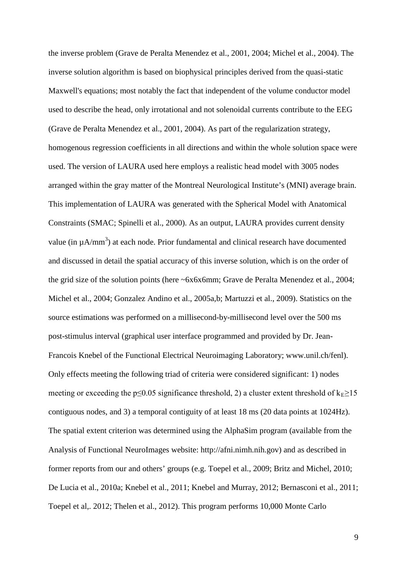the inverse problem (Grave de Peralta Menendez et al., 2001, 2004; Michel et al., 2004). The inverse solution algorithm is based on biophysical principles derived from the quasi-static Maxwell's equations; most notably the fact that independent of the volume conductor model used to describe the head, only irrotational and not solenoidal currents contribute to the EEG (Grave de Peralta Menendez et al., 2001, 2004). As part of the regularization strategy, homogenous regression coefficients in all directions and within the whole solution space were used. The version of LAURA used here employs a realistic head model with 3005 nodes arranged within the gray matter of the Montreal Neurological Institute's (MNI) average brain. This implementation of LAURA was generated with the Spherical Model with Anatomical Constraints (SMAC; Spinelli et al., 2000). As an output, LAURA provides current density value (in  $\mu$ A/mm<sup>3</sup>) at each node. Prior fundamental and clinical research have documented and discussed in detail the spatial accuracy of this inverse solution, which is on the order of the grid size of the solution points (here ~6x6x6mm; Grave de Peralta Menendez et al., 2004; Michel et al., 2004; Gonzalez Andino et al., 2005a,b; Martuzzi et al., 2009). Statistics on the source estimations was performed on a millisecond-by-millisecond level over the 500 ms post-stimulus interval (graphical user interface programmed and provided by Dr. Jean-Francois Knebel of the Functional Electrical Neuroimaging Laboratory; www.unil.ch/fenl). Only effects meeting the following triad of criteria were considered significant: 1) nodes meeting or exceeding the p≤0.05 significance threshold, 2) a cluster extent threshold of  $k_E \ge 15$ contiguous nodes, and 3) a temporal contiguity of at least 18 ms (20 data points at 1024Hz). The spatial extent criterion was determined using the AlphaSim program (available from the Analysis of Functional NeuroImages website: http://afni.nimh.nih.gov) and as described in former reports from our and others' groups (e.g. Toepel et al., 2009; Britz and Michel, 2010; De Lucia et al., 2010a; Knebel et al., 2011; Knebel and Murray, 2012; Bernasconi et al., 2011; Toepel et al,. 2012; Thelen et al., 2012). This program performs 10,000 Monte Carlo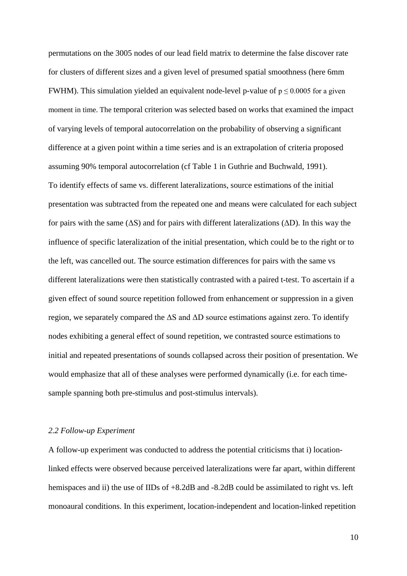permutations on the 3005 nodes of our lead field matrix to determine the false discover rate for clusters of different sizes and a given level of presumed spatial smoothness (here 6mm FWHM). This simulation yielded an equivalent node-level p-value of  $p \le 0.0005$  for a given moment in time. The temporal criterion was selected based on works that examined the impact of varying levels of temporal autocorrelation on the probability of observing a significant difference at a given point within a time series and is an extrapolation of criteria proposed assuming 90% temporal autocorrelation (cf Table 1 in Guthrie and Buchwald, 1991). To identify effects of same vs. different lateralizations, source estimations of the initial presentation was subtracted from the repeated one and means were calculated for each subject for pairs with the same  $(\Delta S)$  and for pairs with different lateralizations  $(\Delta D)$ . In this way the influence of specific lateralization of the initial presentation, which could be to the right or to the left, was cancelled out. The source estimation differences for pairs with the same vs different lateralizations were then statistically contrasted with a paired t-test. To ascertain if a given effect of sound source repetition followed from enhancement or suppression in a given region, we separately compared the  $\Delta S$  and  $\Delta D$  source estimations against zero. To identify nodes exhibiting a general effect of sound repetition, we contrasted source estimations to initial and repeated presentations of sounds collapsed across their position of presentation. We would emphasize that all of these analyses were performed dynamically (i.e. for each timesample spanning both pre-stimulus and post-stimulus intervals).

# *2.2 Follow-up Experiment*

A follow-up experiment was conducted to address the potential criticisms that i) locationlinked effects were observed because perceived lateralizations were far apart, within different hemispaces and ii) the use of IIDs of  $+8.2$ dB and  $-8.2$ dB could be assimilated to right vs. left monoaural conditions. In this experiment, location-independent and location-linked repetition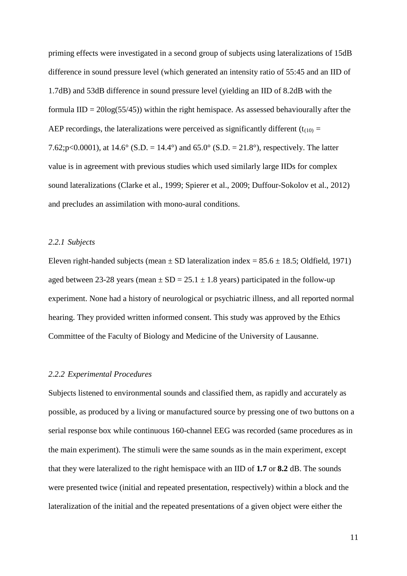priming effects were investigated in a second group of subjects using lateralizations of 15dB difference in sound pressure level (which generated an intensity ratio of 55:45 and an IID of 1.7dB) and 53dB difference in sound pressure level (yielding an IID of 8.2dB with the formula  $IID = 20log(55/45)$  within the right hemispace. As assessed behaviourally after the AEP recordings, the lateralizations were perceived as significantly different ( $t_{(10)}$  = 7.62;p<0.0001), at 14.6° (S.D. = 14.4°) and 65.0° (S.D. = 21.8°), respectively. The latter value is in agreement with previous studies which used similarly large IIDs for complex sound lateralizations (Clarke et al., 1999; Spierer et al., 2009; Duffour-Sokolov et al., 2012) and precludes an assimilation with mono-aural conditions.

#### *2.2.1 Subjects*

Eleven right-handed subjects (mean  $\pm$  SD lateralization index = 85.6  $\pm$  18.5; Oldfield, 1971) aged between 23-28 years (mean  $\pm$  SD = 25.1  $\pm$  1.8 years) participated in the follow-up experiment. None had a history of neurological or psychiatric illness, and all reported normal hearing. They provided written informed consent. This study was approved by the Ethics Committee of the Faculty of Biology and Medicine of the University of Lausanne.

## *2.2.2 Experimental Procedures*

Subjects listened to environmental sounds and classified them, as rapidly and accurately as possible, as produced by a living or manufactured source by pressing one of two buttons on a serial response box while continuous 160-channel EEG was recorded (same procedures as in the main experiment). The stimuli were the same sounds as in the main experiment, except that they were lateralized to the right hemispace with an IID of **1.7** or **8.2** dB. The sounds were presented twice (initial and repeated presentation, respectively) within a block and the lateralization of the initial and the repeated presentations of a given object were either the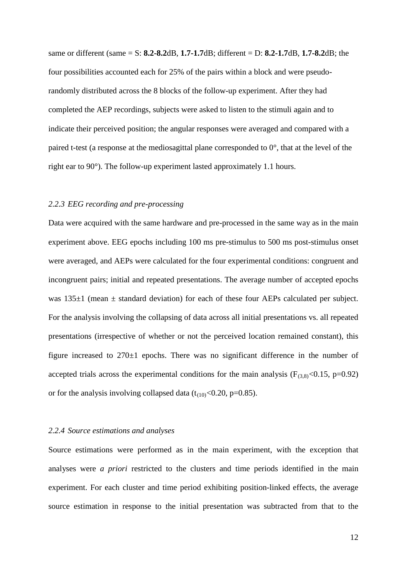same or different (same = S: **8.2-8.2**dB, **1.7-1.7**dB; different = D: **8.2-1.7**dB, **1.7-8.2**dB; the four possibilities accounted each for 25% of the pairs within a block and were pseudorandomly distributed across the 8 blocks of the follow-up experiment. After they had completed the AEP recordings, subjects were asked to listen to the stimuli again and to indicate their perceived position; the angular responses were averaged and compared with a paired t-test (a response at the mediosagittal plane corresponded to  $0^{\circ}$ , that at the level of the right ear to 90°). The follow-up experiment lasted approximately 1.1 hours.

## *2.2.3 EEG recording and pre-processing*

Data were acquired with the same hardware and pre-processed in the same way as in the main experiment above. EEG epochs including 100 ms pre-stimulus to 500 ms post-stimulus onset were averaged, and AEPs were calculated for the four experimental conditions: congruent and incongruent pairs; initial and repeated presentations. The average number of accepted epochs was  $135\pm1$  (mean  $\pm$  standard deviation) for each of these four AEPs calculated per subject. For the analysis involving the collapsing of data across all initial presentations vs. all repeated presentations (irrespective of whether or not the perceived location remained constant), this figure increased to 270±1 epochs. There was no significant difference in the number of accepted trials across the experimental conditions for the main analysis ( $F_{(3,8)}$  <0.15, p=0.92) or for the analysis involving collapsed data  $(t_{(10)}<0.20, p=0.85)$ .

#### *2.2.4 Source estimations and analyses*

Source estimations were performed as in the main experiment, with the exception that analyses were *a priori* restricted to the clusters and time periods identified in the main experiment. For each cluster and time period exhibiting position-linked effects, the average source estimation in response to the initial presentation was subtracted from that to the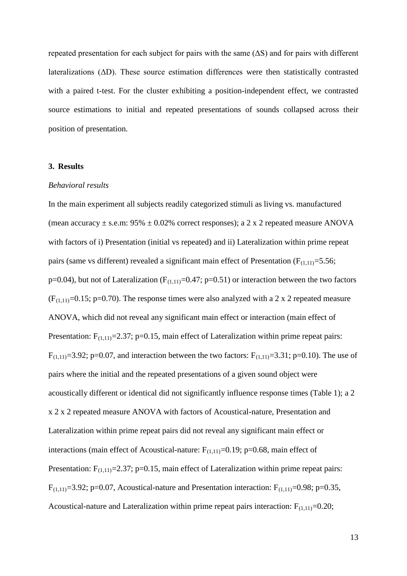repeated presentation for each subject for pairs with the same  $( \Delta S )$  and for pairs with different lateralizations (ΔD). These source estimation differences were then statistically contrasted with a paired t-test. For the cluster exhibiting a position-independent effect, we contrasted source estimations to initial and repeated presentations of sounds collapsed across their position of presentation.

## **3. Results**

#### *Behavioral results*

In the main experiment all subjects readily categorized stimuli as living vs. manufactured (mean accuracy  $\pm$  s.e.m: 95%  $\pm$  0.02% correct responses); a 2 x 2 repeated measure ANOVA with factors of i) Presentation (initial vs repeated) and ii) Lateralization within prime repeat pairs (same vs different) revealed a significant main effect of Presentation ( $F_{(1,11)}=5.56$ ;  $p=0.04$ ), but not of Lateralization ( $F_{(1,11)}=0.47$ ;  $p=0.51$ ) or interaction between the two factors  $(F<sub>(1,11)</sub>=0.15; p=0.70)$ . The response times were also analyzed with a 2 x 2 repeated measure ANOVA, which did not reveal any significant main effect or interaction (main effect of Presentation:  $F_{(1,11)}=2.37$ ; p=0.15, main effect of Lateralization within prime repeat pairs:  $F_{(1,11)}=3.92$ ; p=0.07, and interaction between the two factors:  $F_{(1,11)}=3.31$ ; p=0.10). The use of pairs where the initial and the repeated presentations of a given sound object were acoustically different or identical did not significantly influence response times (Table 1); a 2 x 2 x 2 repeated measure ANOVA with factors of Acoustical-nature, Presentation and Lateralization within prime repeat pairs did not reveal any significant main effect or interactions (main effect of Acoustical-nature:  $F_{(1,11)}=0.19$ ; p=0.68, main effect of Presentation:  $F_{(1,11)}=2.37$ ; p=0.15, main effect of Lateralization within prime repeat pairs:  $F_{(1,11)}=3.92$ ; p=0.07, Acoustical-nature and Presentation interaction:  $F_{(1,11)}=0.98$ ; p=0.35, Acoustical-nature and Lateralization within prime repeat pairs interaction:  $F_{(1,11)}=0.20$ ;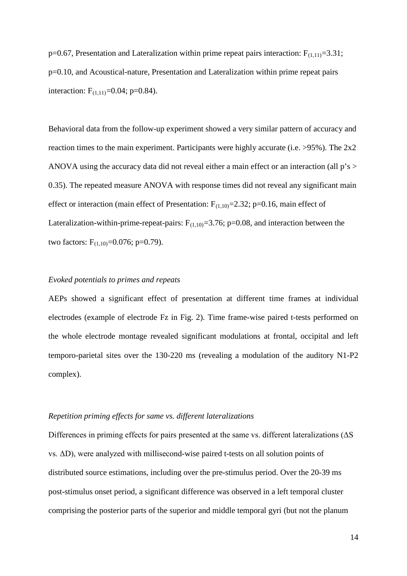p=0.67, Presentation and Lateralization within prime repeat pairs interaction:  $F_{(1,11)}=3.31$ ; p=0.10, and Acoustical-nature, Presentation and Lateralization within prime repeat pairs interaction:  $F_{(1,11)}=0.04$ ; p=0.84).

Behavioral data from the follow-up experiment showed a very similar pattern of accuracy and reaction times to the main experiment. Participants were highly accurate (i.e. >95%). The 2x2 ANOVA using the accuracy data did not reveal either a main effect or an interaction (all p's > 0.35). The repeated measure ANOVA with response times did not reveal any significant main effect or interaction (main effect of Presentation:  $F_{(1,10)}=2.32$ ; p=0.16, main effect of Lateralization-within-prime-repeat-pairs:  $F_{(1,10)}=3.76$ ; p=0.08, and interaction between the two factors:  $F_{(1,10)} = 0.076$ ; p=0.79).

# *Evoked potentials to primes and repeats*

AEPs showed a significant effect of presentation at different time frames at individual electrodes (example of electrode Fz in Fig. 2). Time frame-wise paired t-tests performed on the whole electrode montage revealed significant modulations at frontal, occipital and left temporo-parietal sites over the 130-220 ms (revealing a modulation of the auditory N1-P2 complex).

#### *Repetition priming effects for same vs. different lateralizations*

Differences in priming effects for pairs presented at the same vs. different lateralizations (ΔS vs. ΔD), were analyzed with millisecond-wise paired t-tests on all solution points of distributed source estimations, including over the pre-stimulus period. Over the 20-39 ms post-stimulus onset period, a significant difference was observed in a left temporal cluster comprising the posterior parts of the superior and middle temporal gyri (but not the planum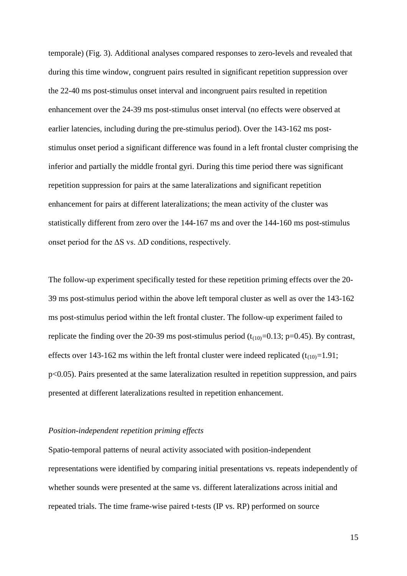temporale) (Fig. 3). Additional analyses compared responses to zero-levels and revealed that during this time window, congruent pairs resulted in significant repetition suppression over the 22-40 ms post-stimulus onset interval and incongruent pairs resulted in repetition enhancement over the 24-39 ms post-stimulus onset interval (no effects were observed at earlier latencies, including during the pre-stimulus period). Over the 143-162 ms poststimulus onset period a significant difference was found in a left frontal cluster comprising the inferior and partially the middle frontal gyri. During this time period there was significant repetition suppression for pairs at the same lateralizations and significant repetition enhancement for pairs at different lateralizations; the mean activity of the cluster was statistically different from zero over the 144-167 ms and over the 144-160 ms post-stimulus onset period for the  $\Delta S$  vs.  $\Delta D$  conditions, respectively.

The follow-up experiment specifically tested for these repetition priming effects over the 20- 39 ms post-stimulus period within the above left temporal cluster as well as over the 143-162 ms post-stimulus period within the left frontal cluster. The follow-up experiment failed to replicate the finding over the 20-39 ms post-stimulus period  $(t_{(10)}=0.13; p=0.45)$ . By contrast, effects over 143-162 ms within the left frontal cluster were indeed replicated  $(t_{(10)}=1.91;$ p<0.05). Pairs presented at the same lateralization resulted in repetition suppression, and pairs presented at different lateralizations resulted in repetition enhancement.

# *Position-independent repetition priming effects*

Spatio-temporal patterns of neural activity associated with position-independent representations were identified by comparing initial presentations vs. repeats independently of whether sounds were presented at the same vs. different lateralizations across initial and repeated trials. The time frame-wise paired t-tests (IP vs. RP) performed on source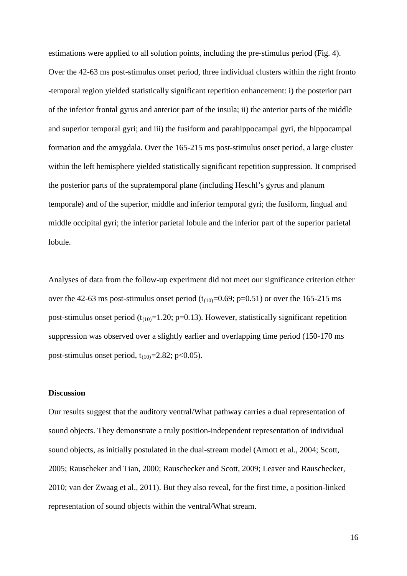estimations were applied to all solution points, including the pre-stimulus period (Fig. 4). Over the 42-63 ms post-stimulus onset period, three individual clusters within the right fronto -temporal region yielded statistically significant repetition enhancement: i) the posterior part of the inferior frontal gyrus and anterior part of the insula; ii) the anterior parts of the middle and superior temporal gyri; and iii) the fusiform and parahippocampal gyri, the hippocampal formation and the amygdala. Over the 165-215 ms post-stimulus onset period, a large cluster within the left hemisphere yielded statistically significant repetition suppression. It comprised the posterior parts of the supratemporal plane (including Heschl's gyrus and planum temporale) and of the superior, middle and inferior temporal gyri; the fusiform, lingual and middle occipital gyri; the inferior parietal lobule and the inferior part of the superior parietal lobule.

Analyses of data from the follow-up experiment did not meet our significance criterion either over the 42-63 ms post-stimulus onset period  $(t_{(10)}=0.69; p=0.51)$  or over the 165-215 ms post-stimulus onset period ( $t_{(10)}$ =1.20; p=0.13). However, statistically significant repetition suppression was observed over a slightly earlier and overlapping time period (150-170 ms post-stimulus onset period,  $t_{(10)}$ =2.82; p<0.05).

## **Discussion**

Our results suggest that the auditory ventral/What pathway carries a dual representation of sound objects. They demonstrate a truly position-independent representation of individual sound objects, as initially postulated in the dual-stream model (Arnott et al., 2004; Scott, 2005; Rauscheker and Tian, 2000; Rauschecker and Scott, 2009; Leaver and Rauschecker, 2010; van der Zwaag et al., 2011). But they also reveal, for the first time, a position-linked representation of sound objects within the ventral/What stream.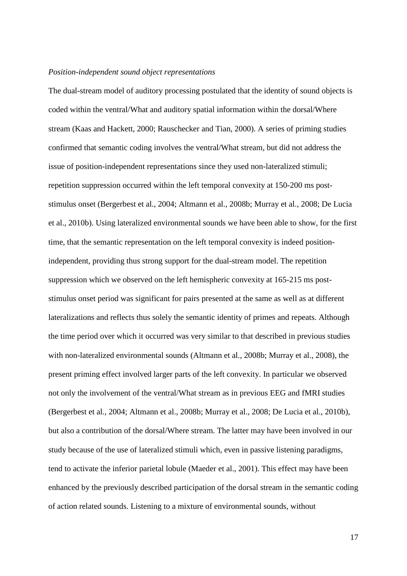#### *Position-independent sound object representations*

The dual-stream model of auditory processing postulated that the identity of sound objects is coded within the ventral/What and auditory spatial information within the dorsal/Where stream (Kaas and Hackett, 2000; Rauschecker and Tian, 2000). A series of priming studies confirmed that semantic coding involves the ventral/What stream, but did not address the issue of position-independent representations since they used non-lateralized stimuli; repetition suppression occurred within the left temporal convexity at 150-200 ms poststimulus onset (Bergerbest et al., 2004; Altmann et al., 2008b; Murray et al., 2008; De Lucia et al., 2010b). Using lateralized environmental sounds we have been able to show, for the first time, that the semantic representation on the left temporal convexity is indeed positionindependent, providing thus strong support for the dual-stream model. The repetition suppression which we observed on the left hemispheric convexity at 165-215 ms poststimulus onset period was significant for pairs presented at the same as well as at different lateralizations and reflects thus solely the semantic identity of primes and repeats. Although the time period over which it occurred was very similar to that described in previous studies with non-lateralized environmental sounds (Altmann et al., 2008b; Murray et al., 2008), the present priming effect involved larger parts of the left convexity. In particular we observed not only the involvement of the ventral/What stream as in previous EEG and fMRI studies (Bergerbest et al., 2004; Altmann et al., 2008b; Murray et al., 2008; De Lucia et al., 2010b), but also a contribution of the dorsal/Where stream. The latter may have been involved in our study because of the use of lateralized stimuli which, even in passive listening paradigms, tend to activate the inferior parietal lobule (Maeder et al., 2001). This effect may have been enhanced by the previously described participation of the dorsal stream in the semantic coding of action related sounds. Listening to a mixture of environmental sounds, without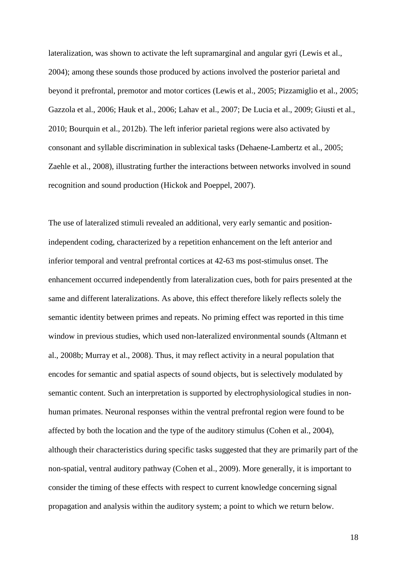lateralization, was shown to activate the left supramarginal and angular gyri (Lewis et al., 2004); among these sounds those produced by actions involved the posterior parietal and beyond it prefrontal, premotor and motor cortices (Lewis et al., 2005; Pizzamiglio et al., 2005; Gazzola et al., 2006; Hauk et al., 2006; Lahav et al., 2007; De Lucia et al., 2009; Giusti et al., 2010; Bourquin et al., 2012b). The left inferior parietal regions were also activated by consonant and syllable discrimination in sublexical tasks (Dehaene-Lambertz et al., 2005; Zaehle et al., 2008), illustrating further the interactions between networks involved in sound recognition and sound production (Hickok and Poeppel, 2007).

The use of lateralized stimuli revealed an additional, very early semantic and positionindependent coding, characterized by a repetition enhancement on the left anterior and inferior temporal and ventral prefrontal cortices at 42-63 ms post-stimulus onset. The enhancement occurred independently from lateralization cues, both for pairs presented at the same and different lateralizations. As above, this effect therefore likely reflects solely the semantic identity between primes and repeats. No priming effect was reported in this time window in previous studies, which used non-lateralized environmental sounds (Altmann et al., 2008b; Murray et al., 2008). Thus, it may reflect activity in a neural population that encodes for semantic and spatial aspects of sound objects, but is selectively modulated by semantic content. Such an interpretation is supported by electrophysiological studies in nonhuman primates. Neuronal responses within the ventral prefrontal region were found to be affected by both the location and the type of the auditory stimulus (Cohen et al., 2004), although their characteristics during specific tasks suggested that they are primarily part of the non-spatial, ventral auditory pathway (Cohen et al., 2009). More generally, it is important to consider the timing of these effects with respect to current knowledge concerning signal propagation and analysis within the auditory system; a point to which we return below.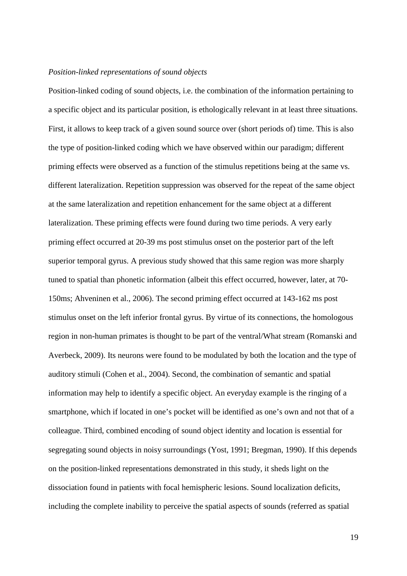# *Position-linked representations of sound objects*

Position-linked coding of sound objects, i.e. the combination of the information pertaining to a specific object and its particular position, is ethologically relevant in at least three situations. First, it allows to keep track of a given sound source over (short periods of) time. This is also the type of position-linked coding which we have observed within our paradigm; different priming effects were observed as a function of the stimulus repetitions being at the same vs. different lateralization. Repetition suppression was observed for the repeat of the same object at the same lateralization and repetition enhancement for the same object at a different lateralization. These priming effects were found during two time periods. A very early priming effect occurred at 20-39 ms post stimulus onset on the posterior part of the left superior temporal gyrus. A previous study showed that this same region was more sharply tuned to spatial than phonetic information (albeit this effect occurred, however, later, at 70- 150ms; Ahveninen et al., 2006). The second priming effect occurred at 143-162 ms post stimulus onset on the left inferior frontal gyrus. By virtue of its connections, the homologous region in non-human primates is thought to be part of the ventral/What stream (Romanski and Averbeck, 2009). Its neurons were found to be modulated by both the location and the type of auditory stimuli (Cohen et al., 2004). Second, the combination of semantic and spatial information may help to identify a specific object. An everyday example is the ringing of a smartphone, which if located in one's pocket will be identified as one's own and not that of a colleague. Third, combined encoding of sound object identity and location is essential for segregating sound objects in noisy surroundings (Yost, 1991; Bregman, 1990). If this depends on the position-linked representations demonstrated in this study, it sheds light on the dissociation found in patients with focal hemispheric lesions. Sound localization deficits, including the complete inability to perceive the spatial aspects of sounds (referred as spatial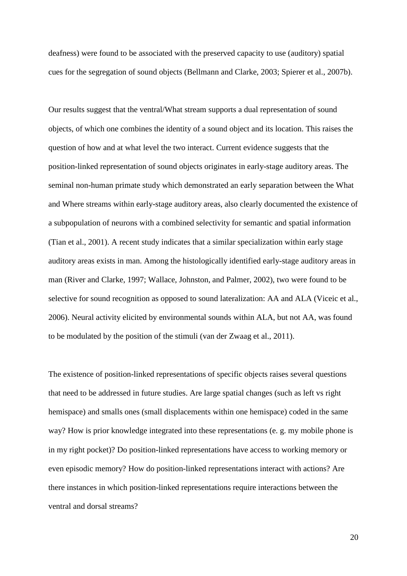deafness) were found to be associated with the preserved capacity to use (auditory) spatial cues for the segregation of sound objects (Bellmann and Clarke, 2003; Spierer et al., 2007b).

Our results suggest that the ventral/What stream supports a dual representation of sound objects, of which one combines the identity of a sound object and its location. This raises the question of how and at what level the two interact. Current evidence suggests that the position-linked representation of sound objects originates in early-stage auditory areas. The seminal non-human primate study which demonstrated an early separation between the What and Where streams within early-stage auditory areas, also clearly documented the existence of a subpopulation of neurons with a combined selectivity for semantic and spatial information (Tian et al., 2001). A recent study indicates that a similar specialization within early stage auditory areas exists in man. Among the histologically identified early-stage auditory areas in man (River and Clarke, 1997; Wallace, Johnston, and Palmer, 2002), two were found to be selective for sound recognition as opposed to sound lateralization: AA and ALA (Viceic et al., 2006). Neural activity elicited by environmental sounds within ALA, but not AA, was found to be modulated by the position of the stimuli (van der Zwaag et al., 2011).

The existence of position-linked representations of specific objects raises several questions that need to be addressed in future studies. Are large spatial changes (such as left vs right hemispace) and smalls ones (small displacements within one hemispace) coded in the same way? How is prior knowledge integrated into these representations (e. g. my mobile phone is in my right pocket)? Do position-linked representations have access to working memory or even episodic memory? How do position-linked representations interact with actions? Are there instances in which position-linked representations require interactions between the ventral and dorsal streams?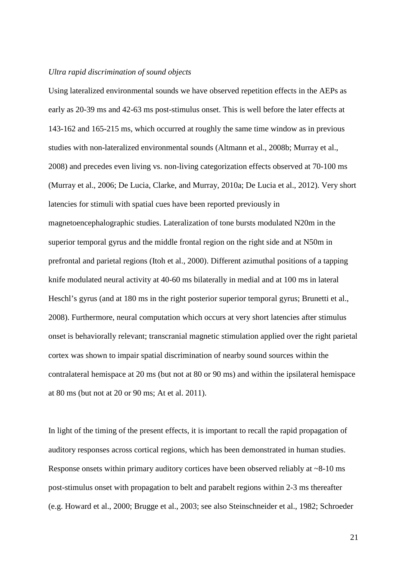# *Ultra rapid discrimination of sound objects*

Using lateralized environmental sounds we have observed repetition effects in the AEPs as early as 20-39 ms and 42-63 ms post-stimulus onset. This is well before the later effects at 143-162 and 165-215 ms, which occurred at roughly the same time window as in previous studies with non-lateralized environmental sounds (Altmann et al., 2008b; Murray et al., 2008) and precedes even living vs. non-living categorization effects observed at 70-100 ms (Murray et al., 2006; De Lucia, Clarke, and Murray, 2010a; De Lucia et al., 2012). Very short latencies for stimuli with spatial cues have been reported previously in magnetoencephalographic studies. Lateralization of tone bursts modulated N20m in the superior temporal gyrus and the middle frontal region on the right side and at N50m in prefrontal and parietal regions (Itoh et al., 2000). Different azimuthal positions of a tapping knife modulated neural activity at 40-60 ms bilaterally in medial and at 100 ms in lateral Heschl's gyrus (and at 180 ms in the right posterior superior temporal gyrus; Brunetti et al., 2008). Furthermore, neural computation which occurs at very short latencies after stimulus onset is behaviorally relevant; transcranial magnetic stimulation applied over the right parietal cortex was shown to impair spatial discrimination of nearby sound sources within the contralateral hemispace at 20 ms (but not at 80 or 90 ms) and within the ipsilateral hemispace at 80 ms (but not at 20 or 90 ms; At et al. 2011).

In light of the timing of the present effects, it is important to recall the rapid propagation of auditory responses across cortical regions, which has been demonstrated in human studies. Response onsets within primary auditory cortices have been observed reliably at  $\sim 8-10$  ms post-stimulus onset with propagation to belt and parabelt regions within 2-3 ms thereafter (e.g. Howard et al., 2000; Brugge et al., 2003; see also Steinschneider et al., 1982; Schroeder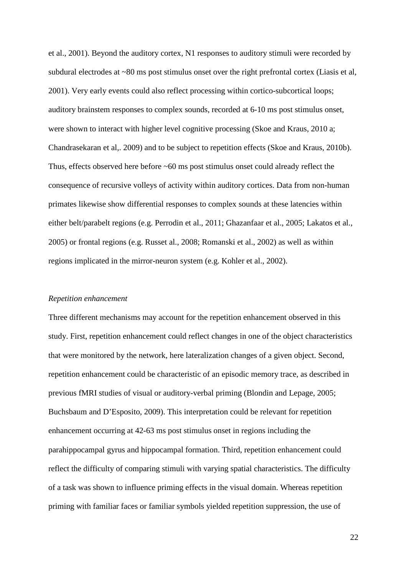et al., 2001). Beyond the auditory cortex, N1 responses to auditory stimuli were recorded by subdural electrodes at ~80 ms post stimulus onset over the right prefrontal cortex (Liasis et al, 2001). Very early events could also reflect processing within cortico-subcortical loops; auditory brainstem responses to complex sounds, recorded at 6-10 ms post stimulus onset, were shown to interact with higher level cognitive processing (Skoe and Kraus, 2010 a; Chandrasekaran et al,. 2009) and to be subject to repetition effects (Skoe and Kraus, 2010b). Thus, effects observed here before ~60 ms post stimulus onset could already reflect the consequence of recursive volleys of activity within auditory cortices. Data from non-human primates likewise show differential responses to complex sounds at these latencies within either belt/parabelt regions (e.g. Perrodin et al., 2011; Ghazanfaar et al., 2005; Lakatos et al., 2005) or frontal regions (e.g. Russet al., 2008; Romanski et al., 2002) as well as within regions implicated in the mirror-neuron system (e.g. Kohler et al., 2002).

#### *Repetition enhancement*

Three different mechanisms may account for the repetition enhancement observed in this study. First, repetition enhancement could reflect changes in one of the object characteristics that were monitored by the network, here lateralization changes of a given object. Second, repetition enhancement could be characteristic of an episodic memory trace, as described in previous fMRI studies of visual or auditory-verbal priming (Blondin and Lepage, 2005; Buchsbaum and D'Esposito, 2009). This interpretation could be relevant for repetition enhancement occurring at 42-63 ms post stimulus onset in regions including the parahippocampal gyrus and hippocampal formation. Third, repetition enhancement could reflect the difficulty of comparing stimuli with varying spatial characteristics. The difficulty of a task was shown to influence priming effects in the visual domain. Whereas repetition priming with familiar faces or familiar symbols yielded repetition suppression, the use of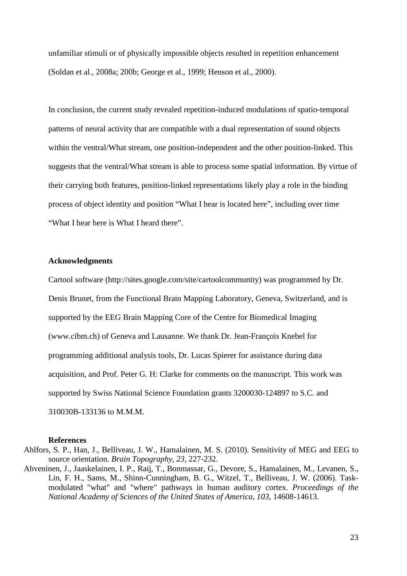unfamiliar stimuli or of physically impossible objects resulted in repetition enhancement (Soldan et al., 2008a; 200b; George et al., 1999; Henson et al., 2000).

In conclusion, the current study revealed repetition-induced modulations of spatio-temporal patterns of neural activity that are compatible with a dual representation of sound objects within the ventral/What stream, one position-independent and the other position-linked. This suggests that the ventral/What stream is able to process some spatial information. By virtue of their carrying both features, position-linked representations likely play a role in the binding process of object identity and position "What I hear is located here", including over time "What I hear here is What I heard there".

## **Acknowledgments**

Cartool software (http://sites.google.com/site/cartoolcommunity) was programmed by Dr. Denis Brunet, from the Functional Brain Mapping Laboratory, Geneva, Switzerland, and is supported by the EEG Brain Mapping Core of the Centre for Biomedical Imaging (www.cibm.ch) of Geneva and Lausanne. We thank Dr. Jean-François Knebel for programming additional analysis tools, Dr. Lucas Spierer for assistance during data acquisition, and Prof. Peter G. H: Clarke for comments on the manuscript. This work was supported by Swiss National Science Foundation grants 3200030-124897 to S.C. and 310030B-133136 to M.M.M.

#### **References**

- Ahlfors, S. P., Han, J., Belliveau, J. W., Hamalainen, M. S. (2010). Sensitivity of MEG and EEG to source orientation. *Brain Topography, 23*, 227-232.
- Ahveninen, J., Jaaskelainen, I. P., Raij, T., Bonmassar, G., Devore, S., Hamalainen, M., Levanen, S., Lin, F. H., Sams, M., Shinn-Cunningham, B. G., Witzel, T., Belliveau, J. W. (2006). Taskmodulated "what" and "where" pathways in human auditory cortex. *Proceedings of the National Academy of Sciences of the United States of America, 103*, 14608-14613.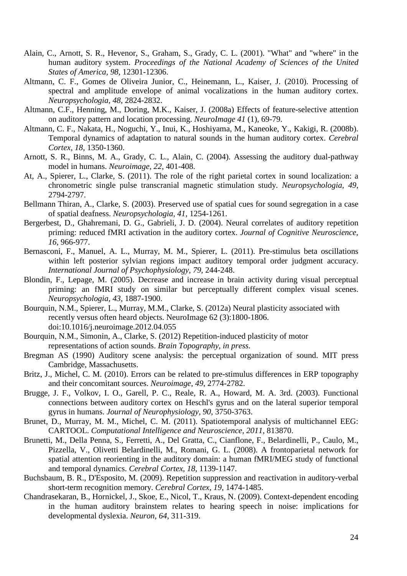- Alain, C., Arnott, S. R., Hevenor, S., Graham, S., Grady, C. L. (2001). "What" and "where" in the human auditory system. *Proceedings of the National Academy of Sciences of the United States of America, 98*, 12301-12306.
- Altmann, C. F., Gomes de Oliveira Junior, C., Heinemann, L., Kaiser, J. (2010). Processing of spectral and amplitude envelope of animal vocalizations in the human auditory cortex. *Neuropsychologia, 48*, 2824-2832.
- Altmann, C.F., Henning, M., Doring, M.K., Kaiser, J. (2008a) Effects of feature-selective attention on auditory pattern and location processing. *NeuroImage 41* (1), 69-79.
- Altmann, C. F., Nakata, H., Noguchi, Y., Inui, K., Hoshiyama, M., Kaneoke, Y., Kakigi, R. (2008b). Temporal dynamics of adaptation to natural sounds in the human auditory cortex. *Cerebral Cortex, 18*, 1350-1360.
- Arnott, S. R., Binns, M. A., Grady, C. L., Alain, C. (2004). Assessing the auditory dual-pathway model in humans. *Neuroimage, 22*, 401-408.
- At, A., Spierer, L., Clarke, S. (2011). The role of the right parietal cortex in sound localization: a chronometric single pulse transcranial magnetic stimulation study. *Neuropsychologia, 49*, 2794-2797.
- Bellmann Thiran, A., Clarke, S. (2003). Preserved use of spatial cues for sound segregation in a case of spatial deafness. *Neuropsychologia, 41*, 1254-1261.
- Bergerbest, D., Ghahremani, D. G., Gabrieli, J. D. (2004). Neural correlates of auditory repetition priming: reduced fMRI activation in the auditory cortex. *Journal of Cognitive Neuroscience, 16*, 966-977.
- Bernasconi, F., Manuel, A. L., Murray, M. M., Spierer, L. (2011). Pre-stimulus beta oscillations within left posterior sylvian regions impact auditory temporal order judgment accuracy. *International Journal of Psychophysiology, 79*, 244-248.
- Blondin, F., Lepage, M. (2005). Decrease and increase in brain activity during visual perceptual priming: an fMRI study on similar but perceptually different complex visual scenes. *Neuropsychologia, 43*, 1887-1900.
- Bourquin, N.M., Spierer, L., Murray, M.M., Clarke, S. (2012a) Neural plasticity associated with recently versus often heard objects. NeuroImage 62 (3):1800-1806. doi:10.1016/j.neuroimage.2012.04.055
- Bourquin, N.M., Simonin, A., Clarke, S. (2012) Repetition-induced plasticity of motor representations of action sounds. *Brain Topography, in press.*
- Bregman AS (1990) Auditory scene analysis: the perceptual organization of sound. MIT press Cambridge, Massachusetts.
- Britz, J., Michel, C. M. (2010). Errors can be related to pre-stimulus differences in ERP topography and their concomitant sources. *Neuroimage, 49*, 2774-2782.
- Brugge, J. F., Volkov, I. O., Garell, P. C., Reale, R. A., Howard, M. A. 3rd. (2003). Functional connections between auditory cortex on Heschl's gyrus and on the lateral superior temporal gyrus in humans. *Journal of Neurophysiology, 90*, 3750-3763.
- Brunet, D., Murray, M. M., Michel, C. M. (2011). Spatiotemporal analysis of multichannel EEG: CARTOOL. *Computational Intelligence and Neuroscience, 2011*, 813870.
- Brunetti, M., Della Penna, S., Ferretti, A., Del Gratta, C., Cianflone, F., Belardinelli, P., Caulo, M., Pizzella, V., Olivetti Belardinelli, M., Romani, G. L. (2008). A frontoparietal network for spatial attention reorienting in the auditory domain: a human fMRI/MEG study of functional and temporal dynamics. *Cerebral Cortex, 18*, 1139-1147.
- Buchsbaum, B. R., D'Esposito, M. (2009). Repetition suppression and reactivation in auditory-verbal short-term recognition memory. *Cerebral Cortex, 19*, 1474-1485.
- Chandrasekaran, B., Hornickel, J., Skoe, E., Nicol, T., Kraus, N. (2009). Context-dependent encoding in the human auditory brainstem relates to hearing speech in noise: implications for developmental dyslexia. *Neuron, 64*, 311-319.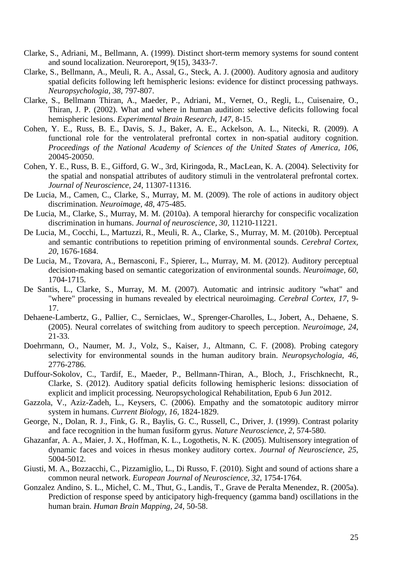- Clarke, S., Adriani, M., Bellmann, A. (1999). Distinct short-term memory systems for sound content and sound localization. Neuroreport, 9(15), 3433-7.
- Clarke, S., Bellmann, A., Meuli, R. A., Assal, G., Steck, A. J. (2000). Auditory agnosia and auditory spatial deficits following left hemispheric lesions: evidence for distinct processing pathways. *Neuropsychologia, 38*, 797-807.
- Clarke, S., Bellmann Thiran, A., Maeder, P., Adriani, M., Vernet, O., Regli, L., Cuisenaire, O., Thiran, J. P. (2002). What and where in human audition: selective deficits following focal hemispheric lesions. *Experimental Brain Research, 147*, 8-15.
- Cohen, Y. E., Russ, B. E., Davis, S. J., Baker, A. E., Ackelson, A. L., Nitecki, R. (2009). A functional role for the ventrolateral prefrontal cortex in non-spatial auditory cognition. *Proceedings of the National Academy of Sciences of the United States of America, 106*, 20045-20050.
- Cohen, Y. E., Russ, B. E., Gifford, G. W., 3rd, Kiringoda, R., MacLean, K. A. (2004). Selectivity for the spatial and nonspatial attributes of auditory stimuli in the ventrolateral prefrontal cortex. *Journal of Neuroscience, 24*, 11307-11316.
- De Lucia, M., Camen, C., Clarke, S., Murray, M. M. (2009). The role of actions in auditory object discrimination. *Neuroimage, 48*, 475-485.
- De Lucia, M., Clarke, S., Murray, M. M. (2010a). A temporal hierarchy for conspecific vocalization discrimination in humans. *Journal of neuroscience, 30*, 11210-11221.
- De Lucia, M., Cocchi, L., Martuzzi, R., Meuli, R. A., Clarke, S., Murray, M. M. (2010b). Perceptual and semantic contributions to repetition priming of environmental sounds. *Cerebral Cortex, 20*, 1676-1684.
- De Lucia, M., Tzovara, A., Bernasconi, F., Spierer, L., Murray, M. M. (2012). Auditory perceptual decision-making based on semantic categorization of environmental sounds. *Neuroimage, 60*, 1704-1715.
- De Santis, L., Clarke, S., Murray, M. M. (2007). Automatic and intrinsic auditory "what" and "where" processing in humans revealed by electrical neuroimaging. *Cerebral Cortex, 17*, 9- 17.
- Dehaene-Lambertz, G., Pallier, C., Serniclaes, W., Sprenger-Charolles, L., Jobert, A., Dehaene, S. (2005). Neural correlates of switching from auditory to speech perception. *Neuroimage, 24*, 21-33.
- Doehrmann, O., Naumer, M. J., Volz, S., Kaiser, J., Altmann, C. F. (2008). Probing category selectivity for environmental sounds in the human auditory brain. *Neuropsychologia, 46*, 2776-2786.
- Duffour-Sokolov, C., Tardif, E., Maeder, P., Bellmann-Thiran, A., Bloch, J., Frischknecht, R., Clarke, S. (2012). Auditory spatial deficits following hemispheric lesions: dissociation of explicit and implicit processing. Neuropsychological Rehabilitation, Epub 6 Jun 2012.
- Gazzola, V., Aziz-Zadeh, L., Keysers, C. (2006). Empathy and the somatotopic auditory mirror system in humans. *Current Biology, 16*, 1824-1829.
- George, N., Dolan, R. J., Fink, G. R., Baylis, G. C., Russell, C., Driver, J. (1999). Contrast polarity and face recognition in the human fusiform gyrus. *Nature Neuroscience, 2*, 574-580.
- Ghazanfar, A. A., Maier, J. X., Hoffman, K. L., Logothetis, N. K. (2005). Multisensory integration of dynamic faces and voices in rhesus monkey auditory cortex. *Journal of Neuroscience, 25*, 5004-5012.
- Giusti, M. A., Bozzacchi, C., Pizzamiglio, L., Di Russo, F. (2010). Sight and sound of actions share a common neural network. *European Journal of Neuroscience, 32*, 1754-1764.
- Gonzalez Andino, S. L., Michel, C. M., Thut, G., Landis, T., Grave de Peralta Menendez, R. (2005a). Prediction of response speed by anticipatory high-frequency (gamma band) oscillations in the human brain. *Human Brain Mapping, 24*, 50-58.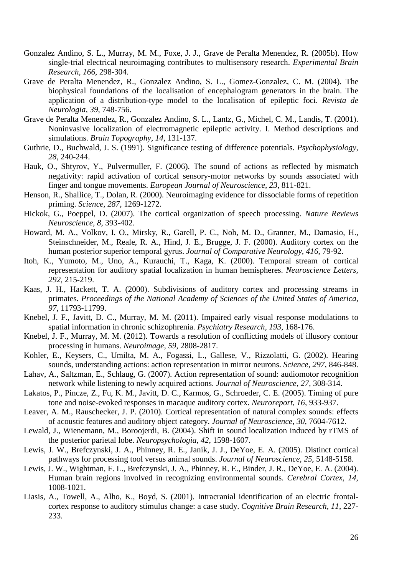- Gonzalez Andino, S. L., Murray, M. M., Foxe, J. J., Grave de Peralta Menendez, R. (2005b). How single-trial electrical neuroimaging contributes to multisensory research. *Experimental Brain Research, 166*, 298-304.
- Grave de Peralta Menendez, R., Gonzalez Andino, S. L., Gomez-Gonzalez, C. M. (2004). The biophysical foundations of the localisation of encephalogram generators in the brain. The application of a distribution-type model to the localisation of epileptic foci. *Revista de Neurologia, 39*, 748-756.
- Grave de Peralta Menendez, R., Gonzalez Andino, S. L., Lantz, G., Michel, C. M., Landis, T. (2001). Noninvasive localization of electromagnetic epileptic activity. I. Method descriptions and simulations. *Brain Topography, 14*, 131-137.
- Guthrie, D., Buchwald, J. S. (1991). Significance testing of difference potentials. *Psychophysiology, 28*, 240-244.
- Hauk, O., Shtyrov, Y., Pulvermuller, F. (2006). The sound of actions as reflected by mismatch negativity: rapid activation of cortical sensory-motor networks by sounds associated with finger and tongue movements. *European Journal of Neuroscience, 23*, 811-821.
- Henson, R., Shallice, T., Dolan, R. (2000). Neuroimaging evidence for dissociable forms of repetition priming. *Science, 287*, 1269-1272.
- Hickok, G., Poeppel, D. (2007). The cortical organization of speech processing. *Nature Reviews Neuroscience, 8*, 393-402.
- Howard, M. A., Volkov, I. O., Mirsky, R., Garell, P. C., Noh, M. D., Granner, M., Damasio, H., Steinschneider, M., Reale, R. A., Hind, J. E., Brugge, J. F. (2000). Auditory cortex on the human posterior superior temporal gyrus. *Journal of Comparative Neurology, 416*, 79-92.
- Itoh, K., Yumoto, M., Uno, A., Kurauchi, T., Kaga, K. (2000). Temporal stream of cortical representation for auditory spatial localization in human hemispheres. *Neuroscience Letters, 292*, 215-219.
- Kaas, J. H., Hackett, T. A. (2000). Subdivisions of auditory cortex and processing streams in primates. *Proceedings of the National Academy of Sciences of the United States of America, 97*, 11793-11799.
- Knebel, J. F., Javitt, D. C., Murray, M. M. (2011). Impaired early visual response modulations to spatial information in chronic schizophrenia. *Psychiatry Research, 193*, 168-176.
- Knebel, J. F., Murray, M. M. (2012). Towards a resolution of conflicting models of illusory contour processing in humans. *Neuroimage, 59*, 2808-2817.
- Kohler, E., Keysers, C., Umilta, M. A., Fogassi, L., Gallese, V., Rizzolatti, G. (2002). Hearing sounds, understanding actions: action representation in mirror neurons. *Science, 297*, 846-848.
- Lahav, A., Saltzman, E., Schlaug, G. (2007). Action representation of sound: audiomotor recognition network while listening to newly acquired actions. *Journal of Neuroscience, 27*, 308-314.
- Lakatos, P., Pincze, Z., Fu, K. M., Javitt, D. C., Karmos, G., Schroeder, C. E. (2005). Timing of pure tone and noise-evoked responses in macaque auditory cortex. *Neuroreport, 16*, 933-937.
- Leaver, A. M., Rauschecker, J. P. (2010). Cortical representation of natural complex sounds: effects of acoustic features and auditory object category. *Journal of Neuroscience, 30*, 7604-7612.
- Lewald, J., Wienemann, M., Boroojerdi, B. (2004). Shift in sound localization induced by rTMS of the posterior parietal lobe. *Neuropsychologia, 42*, 1598-1607.
- Lewis, J. W., Brefczynski, J. A., Phinney, R. E., Janik, J. J., DeYoe, E. A. (2005). Distinct cortical pathways for processing tool versus animal sounds. *Journal of Neuroscience, 25*, 5148-5158.
- Lewis, J. W., Wightman, F. L., Brefczynski, J. A., Phinney, R. E., Binder, J. R., DeYoe, E. A. (2004). Human brain regions involved in recognizing environmental sounds. *Cerebral Cortex, 14*, 1008-1021.
- Liasis, A., Towell, A., Alho, K., Boyd, S. (2001). Intracranial identification of an electric frontalcortex response to auditory stimulus change: a case study. *Cognitive Brain Research, 11*, 227- 233.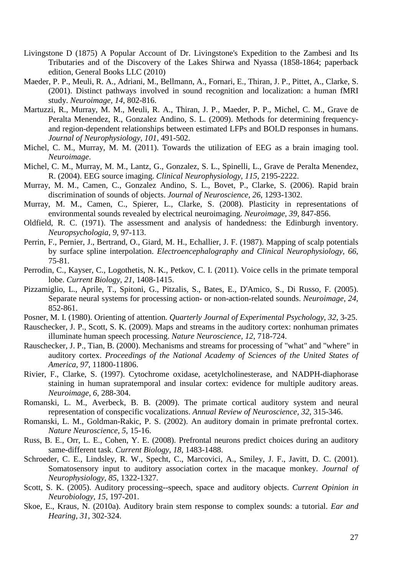- Livingstone D (1875) A Popular Account of Dr. Livingstone's Expedition to the Zambesi and Its Tributaries and of the Discovery of the Lakes Shirwa and Nyassa (1858-1864; paperback edition, General Books LLC (2010)
- Maeder, P. P., Meuli, R. A., Adriani, M., Bellmann, A., Fornari, E., Thiran, J. P., Pittet, A., Clarke, S. (2001). Distinct pathways involved in sound recognition and localization: a human fMRI study. *Neuroimage, 14*, 802-816.
- Martuzzi, R., Murray, M. M., Meuli, R. A., Thiran, J. P., Maeder, P. P., Michel, C. M., Grave de Peralta Menendez, R., Gonzalez Andino, S. L. (2009). Methods for determining frequencyand region-dependent relationships between estimated LFPs and BOLD responses in humans. *Journal of Neurophysiology, 101*, 491-502.
- Michel, C. M., Murray, M. M. (2011). Towards the utilization of EEG as a brain imaging tool. *Neuroimage*.
- Michel, C. M., Murray, M. M., Lantz, G., Gonzalez, S. L., Spinelli, L., Grave de Peralta Menendez, R. (2004). EEG source imaging. *Clinical Neurophysiology, 115*, 2195-2222.
- Murray, M. M., Camen, C., Gonzalez Andino, S. L., Bovet, P., Clarke, S. (2006). Rapid brain discrimination of sounds of objects. *Journal of Neuroscience, 26*, 1293-1302.
- Murray, M. M., Camen, C., Spierer, L., Clarke, S. (2008). Plasticity in representations of environmental sounds revealed by electrical neuroimaging. *Neuroimage, 39*, 847-856.
- Oldfield, R. C. (1971). The assessment and analysis of handedness: the Edinburgh inventory. *Neuropsychologia, 9*, 97-113.
- Perrin, F., Pernier, J., Bertrand, O., Giard, M. H., Echallier, J. F. (1987). Mapping of scalp potentials by surface spline interpolation. *Electroencephalography and Clinical Neurophysiology, 66*, 75-81.
- Perrodin, C., Kayser, C., Logothetis, N. K., Petkov, C. I. (2011). Voice cells in the primate temporal lobe. *Current Biology, 21*, 1408-1415.
- Pizzamiglio, L., Aprile, T., Spitoni, G., Pitzalis, S., Bates, E., D'Amico, S., Di Russo, F. (2005). Separate neural systems for processing action- or non-action-related sounds. *Neuroimage, 24*, 852-861.
- Posner, M. I. (1980). Orienting of attention. *Quarterly Journal of Experimental Psychology, 32*, 3-25.
- Rauschecker, J. P., Scott, S. K. (2009). Maps and streams in the auditory cortex: nonhuman primates illuminate human speech processing. *Nature Neuroscience, 12*, 718-724.
- Rauschecker, J. P., Tian, B. (2000). Mechanisms and streams for processing of "what" and "where" in auditory cortex. *Proceedings of the National Academy of Sciences of the United States of America, 97*, 11800-11806.
- Rivier, F., Clarke, S. (1997). Cytochrome oxidase, acetylcholinesterase, and NADPH-diaphorase staining in human supratemporal and insular cortex: evidence for multiple auditory areas. *Neuroimage, 6*, 288-304.
- Romanski, L. M., Averbeck, B. B. (2009). The primate cortical auditory system and neural representation of conspecific vocalizations. *Annual Review of Neuroscience, 32*, 315-346.
- Romanski, L. M., Goldman-Rakic, P. S. (2002). An auditory domain in primate prefrontal cortex. *Nature Neuroscience, 5*, 15-16.
- Russ, B. E., Orr, L. E., Cohen, Y. E. (2008). Prefrontal neurons predict choices during an auditory same-different task. *Current Biology, 18*, 1483-1488.
- Schroeder, C. E., Lindsley, R. W., Specht, C., Marcovici, A., Smiley, J. F., Javitt, D. C. (2001). Somatosensory input to auditory association cortex in the macaque monkey. *Journal of Neurophysiology, 85*, 1322-1327.
- Scott, S. K. (2005). Auditory processing--speech, space and auditory objects. *Current Opinion in Neurobiology, 15*, 197-201.
- Skoe, E., Kraus, N. (2010a). Auditory brain stem response to complex sounds: a tutorial. *Ear and Hearing, 31*, 302-324.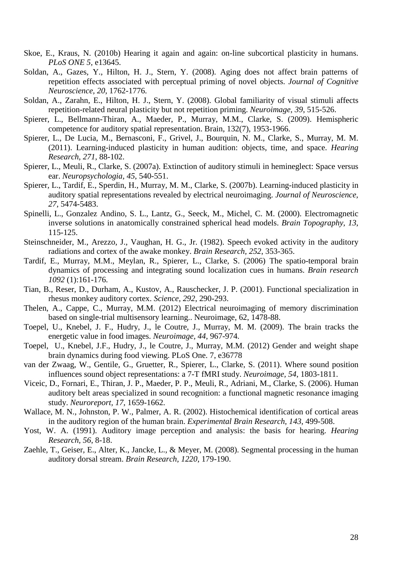- Skoe, E., Kraus, N. (2010b) Hearing it again and again: on-line subcortical plasticity in humans. *PLoS ONE 5,* e13645.
- Soldan, A., Gazes, Y., Hilton, H. J., Stern, Y. (2008). Aging does not affect brain patterns of repetition effects associated with perceptual priming of novel objects. *Journal of Cognitive Neuroscience, 20*, 1762-1776.
- Soldan, A., Zarahn, E., Hilton, H. J., Stern, Y. (2008). Global familiarity of visual stimuli affects repetition-related neural plasticity but not repetition priming. *Neuroimage, 39*, 515-526.
- Spierer, L., Bellmann-Thiran, A., Maeder, P., Murray, M.M., Clarke, S. (2009). Hemispheric competence for auditory spatial representation. Brain, 132(7), 1953-1966.
- Spierer, L., De Lucia, M., Bernasconi, F., Grivel, J., Bourquin, N. M., Clarke, S., Murray, M. M. (2011). Learning-induced plasticity in human audition: objects, time, and space. *Hearing Research, 271*, 88-102.
- Spierer, L., Meuli, R., Clarke, S. (2007a). Extinction of auditory stimuli in hemineglect: Space versus ear. *Neuropsychologia, 45*, 540-551.
- Spierer, L., Tardif, E., Sperdin, H., Murray, M. M., Clarke, S. (2007b). Learning-induced plasticity in auditory spatial representations revealed by electrical neuroimaging. *Journal of Neuroscience, 27*, 5474-5483.
- Spinelli, L., Gonzalez Andino, S. L., Lantz, G., Seeck, M., Michel, C. M. (2000). Electromagnetic inverse solutions in anatomically constrained spherical head models. *Brain Topography, 13*, 115-125.
- Steinschneider, M., Arezzo, J., Vaughan, H. G., Jr. (1982). Speech evoked activity in the auditory radiations and cortex of the awake monkey. *Brain Research, 252*, 353-365.
- Tardif, E., Murray, M.M., Meylan, R., Spierer, L., Clarke, S. (2006) The spatio-temporal brain dynamics of processing and integrating sound localization cues in humans. *Brain research 1092* (1):161-176.
- Tian, B., Reser, D., Durham, A., Kustov, A., Rauschecker, J. P. (2001). Functional specialization in rhesus monkey auditory cortex. *Science, 292*, 290-293.
- Thelen, A., Cappe, C., Murray, M.M. (2012) Electrical neuroimaging of memory discrimination based on single-trial multisensory learning.. Neuroimage, 62, 1478-88.
- Toepel, U., Knebel, J. F., Hudry, J., le Coutre, J., Murray, M. M. (2009). The brain tracks the energetic value in food images. *Neuroimage, 44*, 967-974.
- Toepel, U., Knebel, J.F., Hudry, J., le Coutre, J., Murray, M.M. (2012) Gender and weight shape brain dynamics during food viewing. PLoS One. 7, e36778
- van der Zwaag, W., Gentile, G., Gruetter, R., Spierer, L., Clarke, S. (2011). Where sound position influences sound object representations: a 7-T fMRI study. *Neuroimage, 54*, 1803-1811.
- Viceic, D., Fornari, E., Thiran, J. P., Maeder, P. P., Meuli, R., Adriani, M., Clarke, S. (2006). Human auditory belt areas specialized in sound recognition: a functional magnetic resonance imaging study. *Neuroreport, 17*, 1659-1662.
- Wallace, M. N., Johnston, P. W., Palmer, A. R. (2002). Histochemical identification of cortical areas in the auditory region of the human brain. *Experimental Brain Research, 143*, 499-508.
- Yost, W. A. (1991). Auditory image perception and analysis: the basis for hearing. *Hearing Research, 56*, 8-18.
- Zaehle, T., Geiser, E., Alter, K., Jancke, L., & Meyer, M. (2008). Segmental processing in the human auditory dorsal stream. *Brain Research, 1220*, 179-190.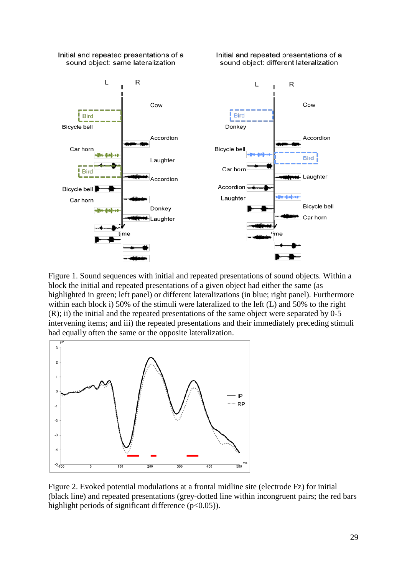

Figure 1. Sound sequences with initial and repeated presentations of sound objects. Within a block the initial and repeated presentations of a given object had either the same (as highlighted in green; left panel) or different lateralizations (in blue; right panel). Furthermore within each block i) 50% of the stimuli were lateralized to the left (L) and 50% to the right (R); ii) the initial and the repeated presentations of the same object were separated by 0-5 intervening items; and iii) the repeated presentations and their immediately preceding stimuli had equally often the same or the opposite lateralization.



Figure 2. Evoked potential modulations at a frontal midline site (electrode Fz) for initial (black line) and repeated presentations (grey-dotted line within incongruent pairs; the red bars highlight periods of significant difference  $(p<0.05)$ ).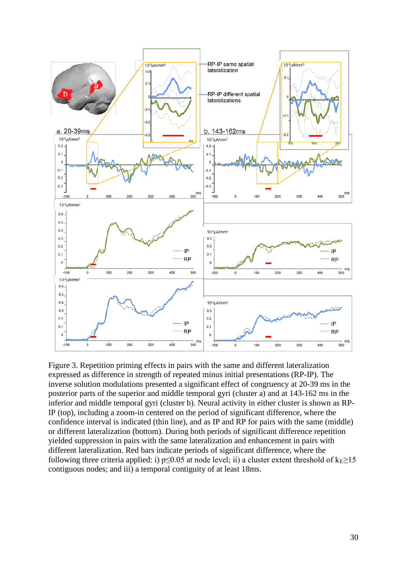

Figure 3. Repetition priming effects in pairs with the same and different lateralization expressed as difference in strength of repeated minus initial presentations (RP-IP). The inverse solution modulations presented a significant effect of congruency at 20-39 ms in the posterior parts of the superior and middle temporal gyri (cluster a) and at 143-162 ms in the inferior and middle temporal gyri (cluster b). Neural activity in either cluster is shown as RP-IP (top), including a zoom-in centered on the period of significant difference, where the confidence interval is indicated (thin line), and as IP and RP for pairs with the same (middle) or different lateralization (bottom). During both periods of significant difference repetition yielded suppression in pairs with the same lateralization and enhancement in pairs with different lateralization. Red bars indicate periods of significant difference, where the following three criteria applied: i) p≤0.05 at node level; ii) a cluster extent threshold of  $k_E \ge 15$ contiguous nodes; and iii) a temporal contiguity of at least 18ms.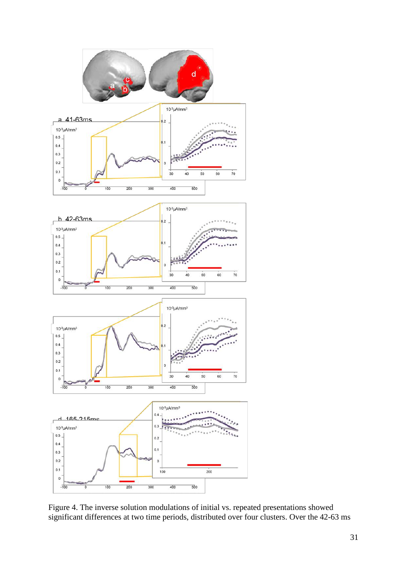

Figure 4. The inverse solution modulations of initial vs. repeated presentations showed significant differences at two time periods, distributed over four clusters. Over the 42-63 ms